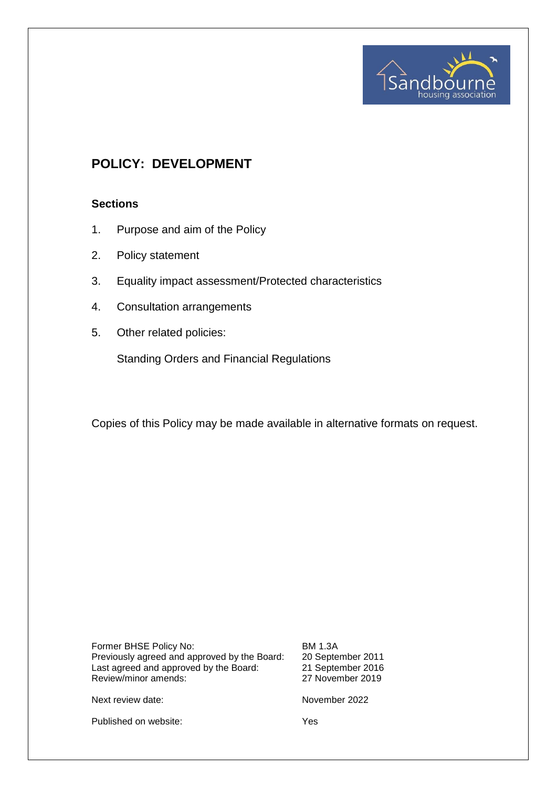

# **POLICY: DEVELOPMENT**

## **Sections**

- 1. Purpose and aim of the Policy
- 2. Policy statement
- 3. Equality impact assessment/Protected characteristics
- 4. Consultation arrangements
- 5. Other related policies:

Standing Orders and Financial Regulations

Copies of this Policy may be made available in alternative formats on request.

Former BHSE Policy No: BM 1.3A Previously agreed and approved by the Board: 20 September 2011 Last agreed and approved by the Board: 21 September 2016 Review/minor amends: 27 November 2019

Next review date: November 2022

Published on website: Yes